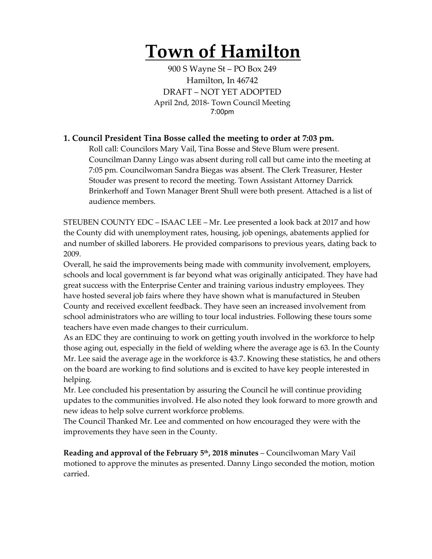# **Town of Hamilton**

900 S Wayne St – PO Box 249 Hamilton, In 46742 DRAFT – NOT YET ADOPTED April 2nd, 2018- Town Council Meeting 7:00pm

# **1. Council President Tina Bosse called the meeting to order at 7:03 pm.**

Roll call: Councilors Mary Vail, Tina Bosse and Steve Blum were present. Councilman Danny Lingo was absent during roll call but came into the meeting at 7:05 pm. Councilwoman Sandra Biegas was absent. The Clerk Treasurer, Hester Stouder was present to record the meeting. Town Assistant Attorney Darrick Brinkerhoff and Town Manager Brent Shull were both present. Attached is a list of audience members.

STEUBEN COUNTY EDC – ISAAC LEE – Mr. Lee presented a look back at 2017 and how the County did with unemployment rates, housing, job openings, abatements applied for and number of skilled laborers. He provided comparisons to previous years, dating back to 2009.

Overall, he said the improvements being made with community involvement, employers, schools and local government is far beyond what was originally anticipated. They have had great success with the Enterprise Center and training various industry employees. They have hosted several job fairs where they have shown what is manufactured in Steuben County and received excellent feedback. They have seen an increased involvement from school administrators who are willing to tour local industries. Following these tours some teachers have even made changes to their curriculum.

As an EDC they are continuing to work on getting youth involved in the workforce to help those aging out, especially in the field of welding where the average age is 63. In the County Mr. Lee said the average age in the workforce is 43.7. Knowing these statistics, he and others on the board are working to find solutions and is excited to have key people interested in helping.

Mr. Lee concluded his presentation by assuring the Council he will continue providing updates to the communities involved. He also noted they look forward to more growth and new ideas to help solve current workforce problems.

The Council Thanked Mr. Lee and commented on how encouraged they were with the improvements they have seen in the County.

**Reading and approval of the February 5th, 2018 minutes** – Councilwoman Mary Vail motioned to approve the minutes as presented. Danny Lingo seconded the motion, motion carried.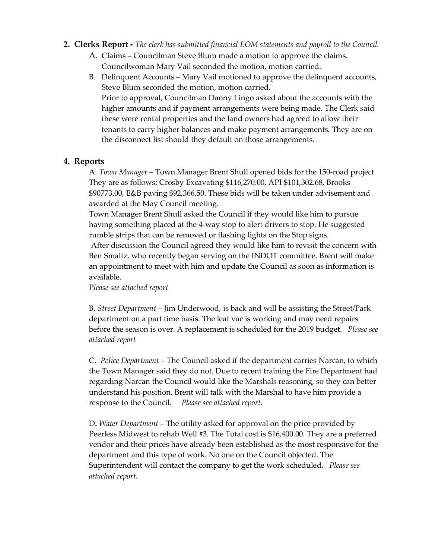#### **2. Clerks Report -** *The clerk has submitted financial EOM statements and payroll to the Council.*

- A. Claims Councilman Steve Blum made a motion to approve the claims. Councilwoman Mary Vail seconded the motion, motion carried.
- B. Delinquent Accounts Mary Vail motioned to approve the delinquent accounts, Steve Blum seconded the motion, motion carried. Prior to approval, Councilman Danny Lingo asked about the accounts with the higher amounts and if payment arrangements were being made. The Clerk said these were rental properties and the land owners had agreed to allow their tenants to carry higher balances and make payment arrangements. They are on the disconnect list should they default on those arrangements.

### **4. Reports**

A. *Town Manager* – Town Manager Brent Shull opened bids for the 150-road project. They are as follows; Crosby Excavating \$116,270.00, API \$101,302.68, Brooks \$90773.00, E&B paving \$92,366.50. These bids will be taken under advisement and awarded at the May Council meeting.

Town Manager Brent Shull asked the Council if they would like him to pursue having something placed at the 4-way stop to alert drivers to stop. He suggested rumble strips that can be removed or flashing lights on the Stop signs.

After discussion the Council agreed they would like him to revisit the concern with Ben Smaltz, who recently began serving on the INDOT committee. Brent will make an appointment to meet with him and update the Council as soon as information is available.

#### P*lease see attached report*

B*. Street Department* – Jim Underwood, is back and will be assisting the Street/Park department on a part time basis. The leaf vac is working and may need repairs before the season is over. A replacement is scheduled for the 2019 budget. *Please see attached report*

C**.** *Police Department –* The Council asked if the department carries Narcan, to which the Town Manager said they do not. Due to recent training the Fire Department had regarding Narcan the Council would like the Marshals reasoning, so they can better understand his position. Brent will talk with the Marshal to have him provide a response to the Council. *Please see attached report.*

D**.** *Water Department* – The utility asked for approval on the price provided by Peerless Midwest to rehab Well #3. The Total cost is \$16,400.00. They are a preferred vendor and their prices have already been established as the most responsive for the department and this type of work. No one on the Council objected. The Superintendent will contact the company to get the work scheduled. *Please see attached report.*